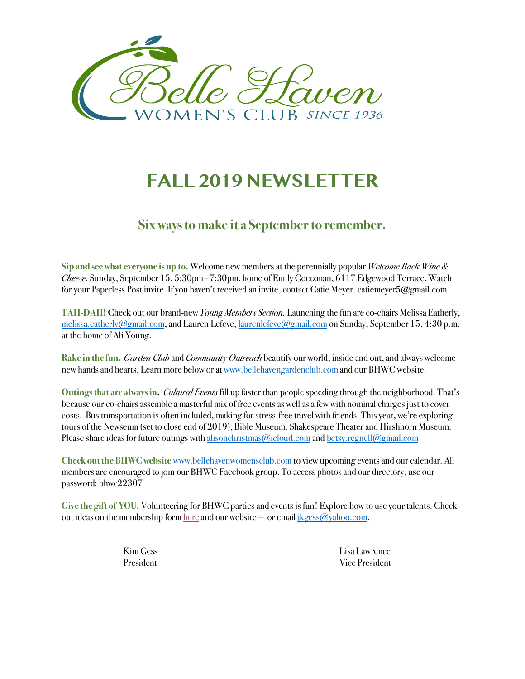

# **FALL 2019 NEWSLETTER**

## **Six** ways to make it a September to remember.

**Sip and see what everyone is up to.** Welcome new members at the perennially popular *Welcome Back Wine & Cheese.* Sunday, September 15, 5:30pm - 7:30pm, home of Emily Goetzman, 6117 Edgewood Terrace. Watch for your Paperless Post invite. If you haven't received an invite, contact Catie Meyer, catiemeyer5@gmail.com

**TAH-DAH!** Check out our brand-new *Young Members Section.* Launching the fun are co-chairs Melissa Eatherly, melissa.eatherly@gmail.com, and Lauren Lefeve, laurenlefeve@gmail.com on Sunday, September 15, 4:30 p.m. at the home of Ali Young.

**Rake in the fun.** *Garden Club* and *Community Outreach* beautify our world, inside and out, and always welcome new hands and hearts. Learn more below or at www.bellehavengardenclub.com and our BHWC website.

**Outings that are always in.** *Cultural Events* fill up faster than people speeding through the neighborhood. That's because our co-chairs assemble a masterful mix of free events as well as a few with nominal charges just to cover costs. Bus transportation is often included, making for stress-free travel with friends. This year, we're exploring tours of the Newseum (set to close end of 2019), Bible Museum, Shakespeare Theater and Hirshhorn Museum. Please share ideas for future outings with alisonchristmas@icloud.com and betsy.regnell@gmail.com

**Check out the BHWC website** www.bellehavenwomensclub.com to view upcoming events and our calendar. All members are encouraged to join our BHWC Facebook group. To access photos and our directory, use our password: bhwc22307

**Give the gift of YOU.** Volunteering for BHWC parties and events is fun! Explore how to use your talents. Check out ideas on the membership form here and our website -- or email  $ikges@yahoo.com$ .

Kim Gess Lisa Lawrence President Vice President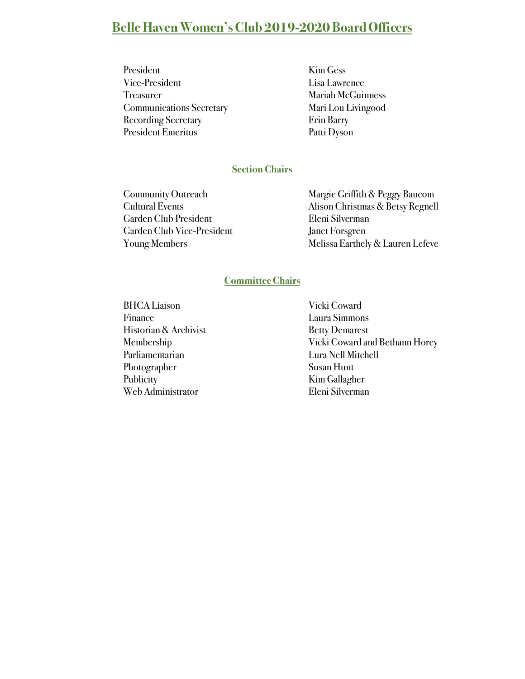## **Belle Haven Women's Club 2019-2020 Board Officers**

- President Kim Gess Vice-President Lisa Lawrence Treasurer Mariah McGuinness Communications Secretary Mari Lou Livingood Recording Secretary **Example 2018** Erin Barry President Emeritus Patti Dyson
	-

#### **Section Chairs**

Garden Club President Eleni Silverman Garden Club Vice-President Janet Forsgren

Community Outreach Margie Griffith & Peggy Baucom Cultural Events Alison Christmas & Betsy Regnell Young Members Melissa Earthely & Lauren Lefeve

#### **Committee Chairs**

BHCA Liaison Vicki Coward Finance Laura Simmons Historian & Archivist Betty Demarest Parliamentarian Lura Nell Mitchell Photographer Susan Hunt Publicity **Kim Gallagher** Web Administrator Eleni Silverman

Membership Vicki Coward and Bethann Horey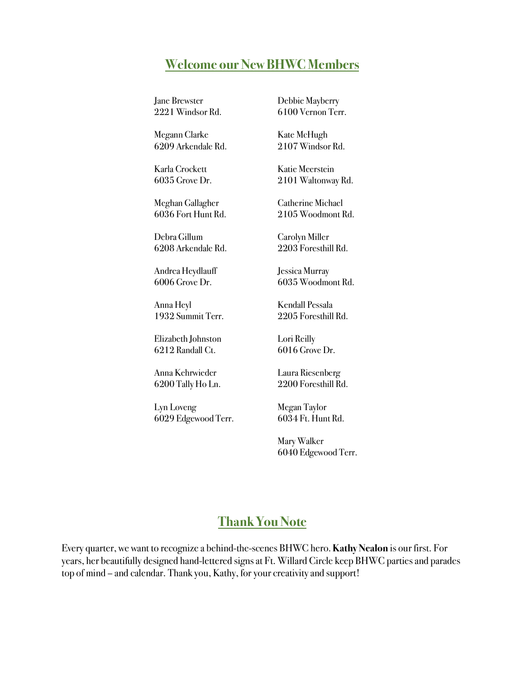#### **Welcome our New BHWC Members**

Jane Brewster 2221 Windsor Rd. Debbie Mayberry 6100 Vernon Terr.

Megann Clarke 6209 Arkendale Rd.

Karla Crockett 6035 Grove Dr.

Meghan Gallagher 6036 Fort Hunt Rd.

Debra Gillum 6208 Arkendale Rd.

Andrea Heydlauff 6006 Grove Dr.

Anna Heyl 1932 Summit Terr.

Elizabeth Johnston 6212 Randall Ct.

Anna Kehrwieder 6200 Tally Ho Ln.

Lyn Loveng 6029 Edgewood Terr.

Kate McHugh 2107 Windsor Rd.

Katie Meerstein 2101 Waltonway Rd.

Catherine Michael 2105 Woodmont Rd.

Carolyn Miller 2203 Foresthill Rd.

Jessica Murray 6035 Woodmont Rd.

Kendall Pessala 2205 Foresthill Rd.

Lori Reilly 6016 Grove Dr.

Laura Riesenberg 2200 Foresthill Rd.

Megan Taylor 6034 Ft. Hunt Rd.

Mary Walker 6040 Edgewood Terr.

#### **Thank You Note**

Every quarter, we want to recognize a behind-the-scenes BHWC hero.**Kathy Nealon** is our first. For years, her beautifully designed hand-lettered signs at Ft. Willard Circle keep BHWC parties and parades top of mind – and calendar. Thank you, Kathy, for your creativity and support!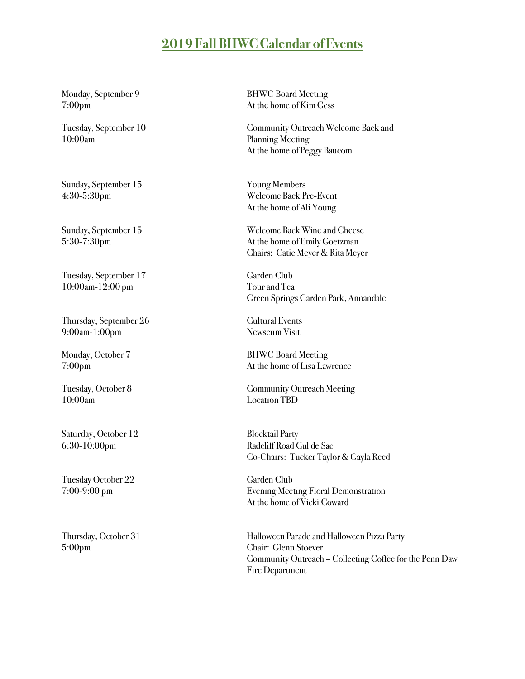### **2019 Fall BHWC Calendar of Events**

10:00am Planning Meeting

Sunday, September 15 Young Members

Tuesday, September 17 Garden Club 10:00am-12:00 pm Tour and Tea

Thursday, September 26 Cultural Events 9:00am-1:00pm Newseum Visit

10:00am Location TBD

Saturday, October 12 Blocktail Party

Tuesday October 22 Garden Club

5:00pm Chair: Glenn Stoever

Monday, September 9 BHWC Board Meeting 7:00pm At the home of Kim Gess

Tuesday, September 10 Community Outreach Welcome Back and At the home of Peggy Baucom

4:30-5:30pm Welcome Back Pre-Event At the home of Ali Young

Sunday, September 15 Welcome Back Wine and Cheese 5:30-7:30pm At the home of Emily Goetzman Chairs: Catie Meyer & Rita Meyer

Green Springs Garden Park, Annandale

Monday, October 7 BHWC Board Meeting 7:00pm At the home of Lisa Lawrence

Tuesday, October 8 Community Outreach Meeting

6:30-10:00pm Radcliff Road Cul de Sac Co-Chairs: Tucker Taylor & Gayla Reed

7:00-9:00 pm Evening Meeting Floral Demonstration At the home of Vicki Coward

Thursday, October 31 Halloween Parade and Halloween Pizza Party Community Outreach – Collecting Coffee for the Penn Daw Fire Department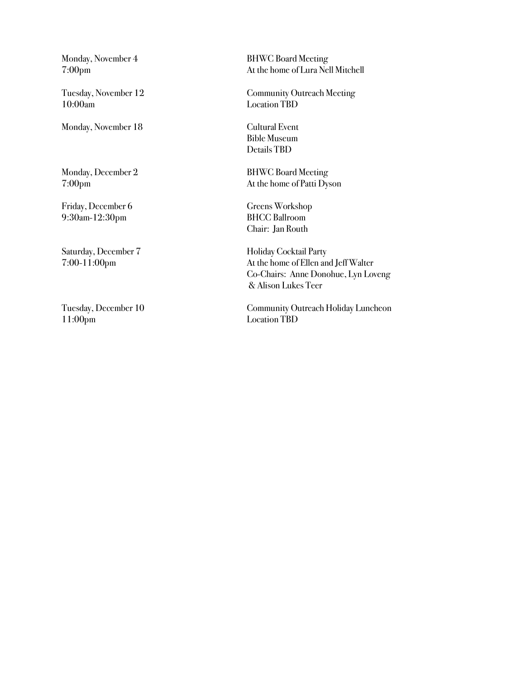10:00am Location TBD

Monday, November 18 Cultural Event

Monday, December 2 BHWC Board Meeting

9:30am-12:30pm BHCC Ballroom

11:00pm Location TBD

Monday, November 4 BHWC Board Meeting 7:00pm At the home of Lura Nell Mitchell

Tuesday, November 12 Community Outreach Meeting

Bible Museum Details TBD

7:00pm At the home of Patti Dyson

Friday, December 6 Greens Workshop Chair: Jan Routh

Saturday, December 7 Holiday Cocktail Party 7:00-11:00pm At the home of Ellen and Jeff Walter Co-Chairs: Anne Donohue, Lyn Loveng & Alison Lukes Teer

Tuesday, December 10 Community Outreach Holiday Luncheon